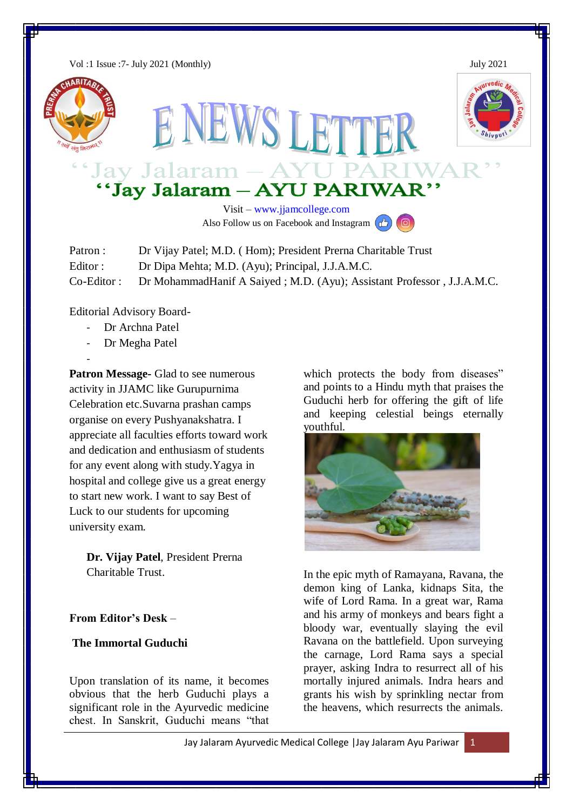Vol :1 Issue :7- July 2021 (Monthly) July 2021







# Jay Jalaram - AYU PARIW.<br>"Jay Jalaram - AYU PARIWAR"

NEWS LETTER

Visit – [www.jjamcollege.com](http://www.jjamcollege.com/) Also Follow us on Facebook and Instagram  $\left(\frac{1}{\sqrt{2}}\right)$ 

| Patron :     | Dr Vijay Patel; M.D. (Hom); President Prerna Charitable Trust          |
|--------------|------------------------------------------------------------------------|
| Editor:      | Dr Dipa Mehta; M.D. (Ayu); Principal, J.J.A.M.C.                       |
| $Co-Editor:$ | Dr MohammadHanif A Saiyed; M.D. (Ayu); Assistant Professor, J.J.A.M.C. |

Editorial Advisory Board-

- Dr Archna Patel
- Dr Megha Patel
- -

**Patron Message-** Glad to see numerous activity in JJAMC like Gurupurnima Celebration etc.Suvarna prashan camps organise on every Pushyanakshatra. I appreciate all faculties efforts toward work and dedication and enthusiasm of students for any event along with study.Yagya in hospital and college give us a great energy to start new work. I want to say Best of Luck to our students for upcoming university exam.

**Dr. Vijay Patel**, President Prerna Charitable Trust.

## **From Editor's Desk** –

## **The Immortal Guduchi**

Upon translation of its name, it becomes obvious that the herb Guduchi plays a significant role in the Ayurvedic medicine chest. In Sanskrit, Guduchi means "that which protects the body from diseases" and points to a Hindu myth that praises the Guduchi herb for offering the gift of life and keeping celestial beings eternally youthful.



In the epic myth of Ramayana, Ravana, the demon king of Lanka, kidnaps Sita, the wife of Lord Rama. In a great war, Rama and his army of monkeys and bears fight a bloody war, eventually slaying the evil Ravana on the battlefield. Upon surveying the carnage, Lord Rama says a special prayer, asking Indra to resurrect all of his mortally injured animals. Indra hears and grants his wish by sprinkling nectar from the heavens, which resurrects the animals.

Jay Jalaram Ayurvedic Medical College | Jay Jalaram Ayu Pariwar 1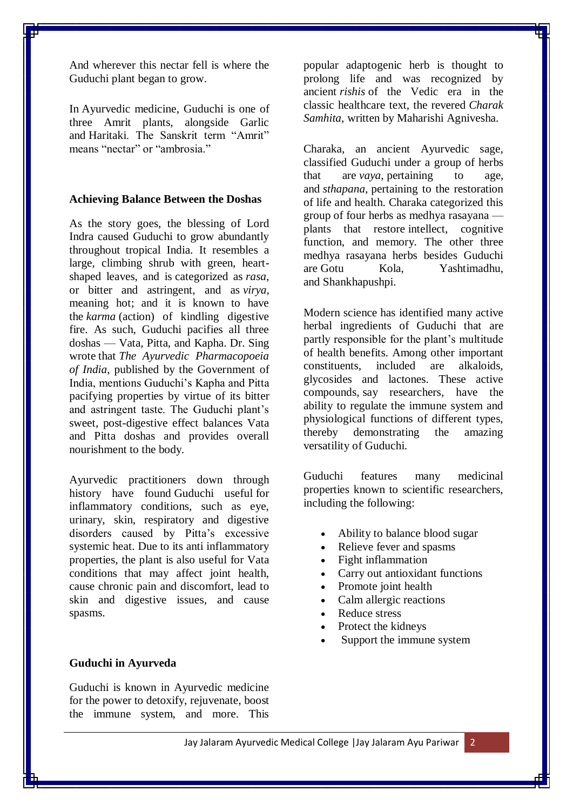And wherever this nectar fell is where the Guduchi plant began to grow.

In [Ayurvedic medicine,](https://www.ayurvedacollege.com/blog/guduchi/) Guduchi is one of three Amrit plants, alongside Garlic and [Haritaki.](https://organicindiausa.com/haritaki/) The Sanskrit term "Amrit" means "nectar" or "ambrosia."

#### **Achieving Balance Between the Doshas**

As the story goes, the blessing of Lord Indra caused Guduchi to grow abundantly throughout tropical India. It resembles a large, climbing shrub with green, heartshaped leaves, and is [categorized as](http://www.ayurveda.hu/api/API-Vol-1.pdf) *rasa*, or bitter and astringent, and as *virya*, meaning hot; and it is known to have the *karma* (action) of kindling digestive fire. As such, Guduchi pacifies all three doshas — Vata, Pitta, and Kapha. [Dr. Sing](https://www.ayurtimes.com/medhya-rasayana-nootropic-herbs-cognitive-enhancers/)  [wrote](https://www.ayurtimes.com/medhya-rasayana-nootropic-herbs-cognitive-enhancers/) that *The Ayurvedic Pharmacopoeia of India*, published by the Government of India, mentions Guduchi's Kapha and Pitta pacifying properties by virtue of its bitter and astringent taste. The Guduchi plant's sweet, post-digestive effect balances Vata and Pitta doshas and provides overall nourishment to the body.

Ayurvedic practitioners down through history have found [Guduchi useful](https://doshaguru.com/guduchi/) for inflammatory conditions, such as eye, urinary, skin, respiratory and digestive disorders caused by Pitta's excessive systemic heat. Due to its anti inflammatory properties, the plant is also useful for Vata conditions that may affect joint health, cause chronic pain and discomfort, lead to skin and digestive issues, and cause spasms.

### **Guduchi in Ayurveda**

Guduchi is known in Ayurvedic medicine for the power to detoxify, rejuvenate, boost the immune system, and more. This

popular adaptogenic herb is thought to prolong life and was recognized by ancient *rishis* of the Vedic era in the classic healthcare text, the revered *Charak Samhita*, written by Maharishi Agnivesha.

Charaka, an ancient Ayurvedic sage, classified Guduchi under a group of herbs that are *vaya,* pertaining to age, and *sthapana,* pertaining to the restoration of life and health. Charaka categorized this group of four herbs as [medhya rasayana](https://www.ayurtimes.com/medhya-rasayana-nootropic-herbs-cognitive-enhancers/) plants that restore intellect, cognitive function, and memory. The other three medhya rasayana herbs besides Guduchi are [Gotu Kola,](https://shop.organicindiausa.com/products/gotu-kola) Yashtimadhu, and [Shankhapushpi.](https://shop.organicindiausa.com/products/memory)

[Modern science](https://www.ncbi.nlm.nih.gov/pmc/articles/PMC2924974/) has identified many active herbal ingredients of Guduchi that are partly responsible for the plant's multitude of health benefits. Among other important constituents, included are alkaloids, glycosides and lactones. These active compounds, [say researchers,](https://www.ncbi.nlm.nih.gov/pmc/articles/PMC3644751/) have the ability to regulate the immune system and physiological functions of different types, thereby demonstrating the amazing versatility of Guduchi.

Guduchi features many medicinal properties known to scientific researchers, including the following:

- Ability to balance blood sugar
- Relieve fever and spasms
- Fight inflammation
- Carry out antioxidant functions
- Promote joint health
- Calm allergic reactions
- Reduce stress
- Protect the kidneys
- Support the immune system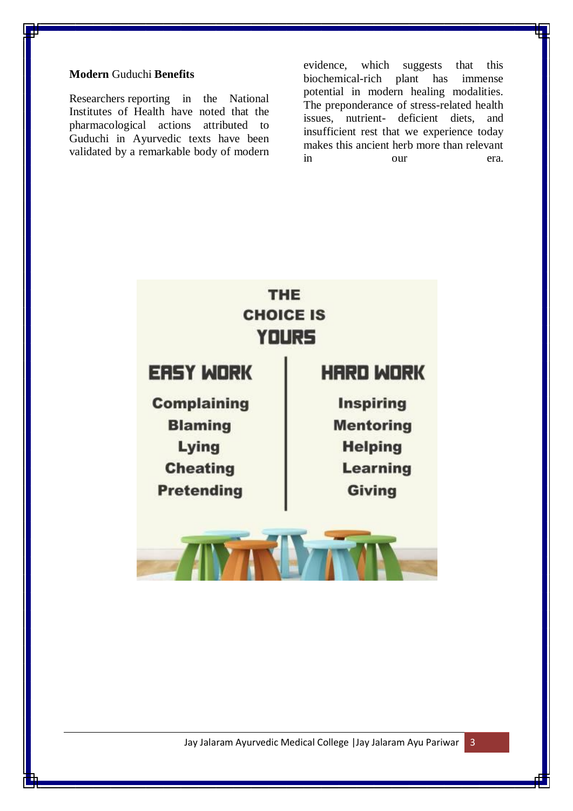## **Modern** Guduchi **Benefits**

[Researchers](https://www.ncbi.nlm.nih.gov/pmc/articles/PMC2924974/) reporting in the National Institutes of Health have noted that the pharmacological actions attributed to Guduchi in Ayurvedic texts have been validated by a remarkable body of modern evidence, which suggests that this biochemical-rich plant has immense potential in modern healing modalities. The preponderance of stress-related health issues, nutrient- deficient diets, and insufficient rest that we experience today makes this ancient herb more than relevant in our era.

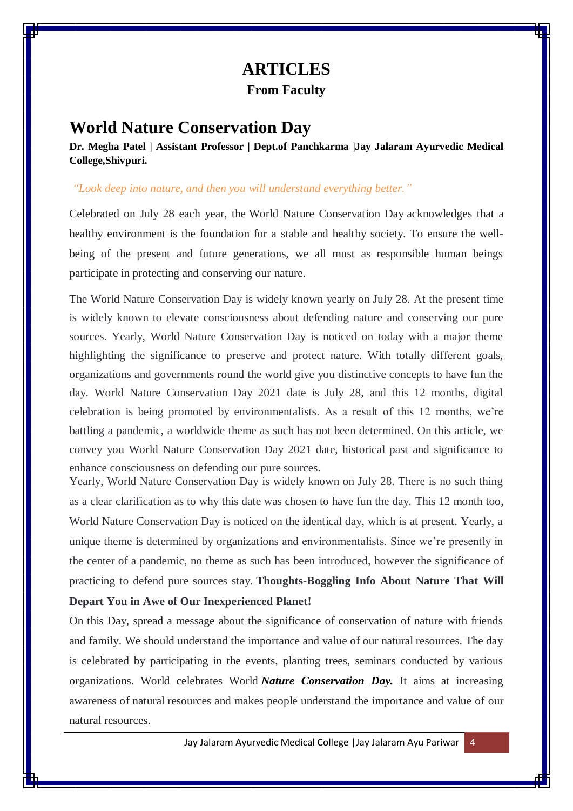## **ARTICLES From Faculty**

## **World Nature Conservation Day**

**Dr. Megha Patel | Assistant Professor | Dept.of Panchkarma |Jay Jalaram Ayurvedic Medical College,Shivpuri.**

### *"Look deep into nature, and then you will understand everything better."*

Celebrated on July 28 each year, the World Nature Conservation Day acknowledges that a healthy environment is the foundation for a stable and healthy society. To ensure the wellbeing of the present and future generations, we all must as responsible human beings participate in protecting and conserving our nature.

The World Nature Conservation Day is widely known yearly on July 28. At the present time is widely known to elevate consciousness about defending nature and conserving our pure sources. Yearly, World Nature Conservation Day is noticed on today with a major theme highlighting the significance to preserve and protect nature. With totally different goals, organizations and governments round the world give you distinctive concepts to have fun the day. World Nature Conservation Day 2021 date is July 28, and this 12 months, digital celebration is being promoted by environmentalists. As a result of this 12 months, we're battling a pandemic, a worldwide theme as such has not been determined. On this article, we convey you World Nature Conservation Day 2021 date, historical past and significance to enhance consciousness on defending our pure sources.

Yearly, World Nature Conservation Day is widely known on July 28. There is no such thing as a clear clarification as to why this date was chosen to have fun the day. This 12 month too, World Nature Conservation Day is noticed on the identical day, which is at present. Yearly, a unique theme is determined by organizations and environmentalists. Since we're presently in the center of a pandemic, no theme as such has been introduced, however the significance of practicing to defend pure sources stay. **Thoughts-Boggling Info About Nature That Will Depart You in Awe of Our Inexperienced Planet!**

On this Day, spread a message about the significance of conservation of nature with friends and family. We should understand the importance and value of our natural resources. The day is celebrated by participating in the events, planting trees, seminars conducted by various organizations. World celebrates World *Nature [Conservation](https://aviancetechnologies.com/blog/world-nature-conservation-day-2020-date-history-quotes-how-to-celebrate-the-world-nature-conservation-day/) Day.* It aims at increasing awareness of natural resources and makes people understand the importance and value of our natural resources.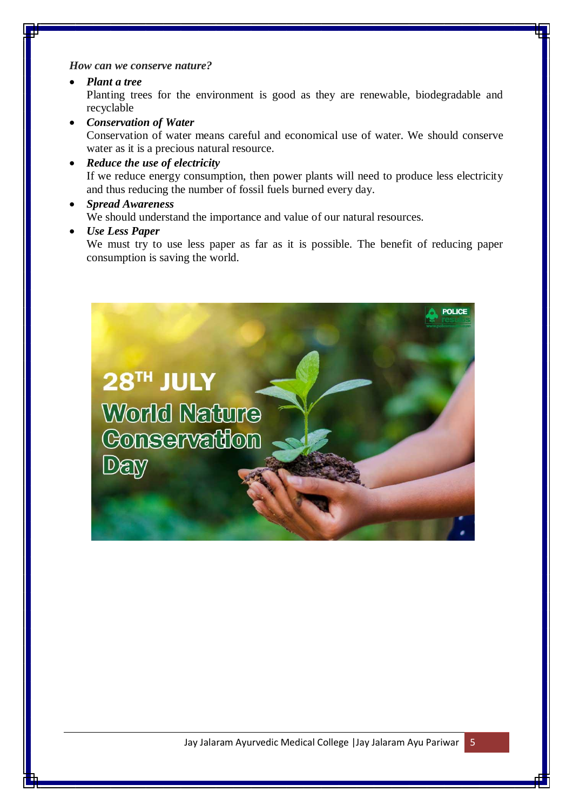*How can we conserve nature?*

- *Plant a tree* Planting trees for the environment is good as they are renewable, biodegradable and recyclable
- *Conservation of Water* Conservation of water means careful and economical use of water. We should conserve water as it is a precious natural resource.
- *Reduce the use of electricity* If we reduce energy consumption, then power plants will need to produce less electricity and thus reducing the number of fossil fuels burned every day.
- *Spread Awareness* We should understand the importance and value of our natural resources.
- *Use Less Paper*

We must try to use less paper as far as it is possible. The benefit of reducing paper consumption is saving the world.